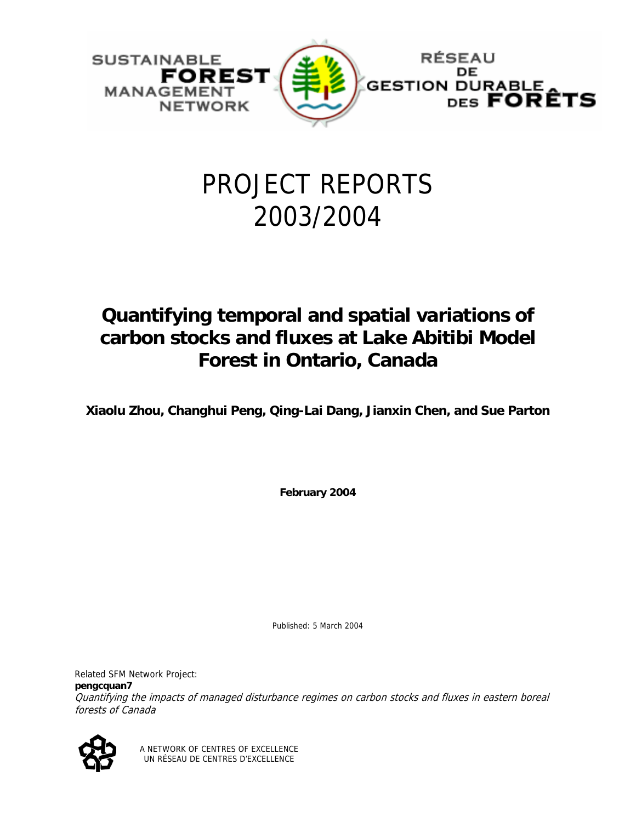

# PROJECT REPORTS 2003/2004

# **Quantifying temporal and spatial variations of carbon stocks and fluxes at Lake Abitibi Model Forest in Ontario, Canada**

**Xiaolu Zhou, Changhui Peng, Qing-Lai Dang, Jianxin Chen, and Sue Parton** 

**February 2004** 

Published: 5 March 2004

Related SFM Network Project: **pengcquan7**  Quantifying the impacts of managed disturbance regimes on carbon stocks and fluxes in eastern boreal forests of Canada



A NETWORK OF CENTRES OF EXCELLENCE UN RÉSEAU DE CENTRES D'EXCELLENCE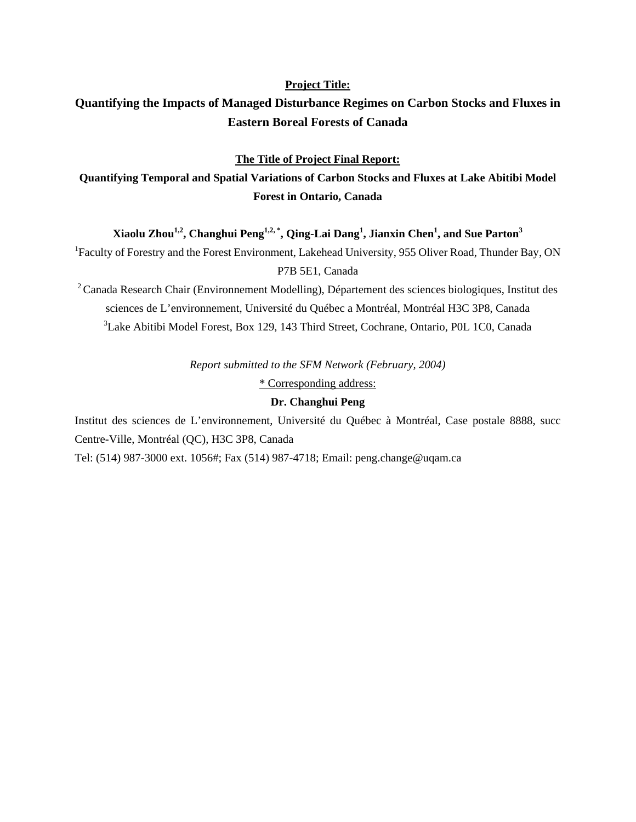#### **Project Title:**

## **Quantifying the Impacts of Managed Disturbance Regimes on Carbon Stocks and Fluxes in Eastern Boreal Forests of Canada**

#### **The Title of Project Final Report:**

**Quantifying Temporal and Spatial Variations of Carbon Stocks and Fluxes at Lake Abitibi Model Forest in Ontario, Canada** 

#### **Xiaolu Zhou1,2, Changhui Peng1,2, \*, Qing-Lai Dang1 , Jianxin Chen<sup>1</sup> , and Sue Parton<sup>3</sup>**

<sup>1</sup>Faculty of Forestry and the Forest Environment, Lakehead University, 955 Oliver Road, Thunder Bay, ON P7B 5E1, Canada

<sup>2</sup> Canada Research Chair (Environnement Modelling), Département des sciences biologiques, Institut des sciences de L'environnement, Université du Québec a Montréal, Montréal H3C 3P8, Canada 3 Lake Abitibi Model Forest, Box 129, 143 Third Street, Cochrane, Ontario, P0L 1C0, Canada

*Report submitted to the SFM Network (February, 2004)* 

\* Corresponding address:

#### **Dr. Changhui Peng**

Institut des sciences de L'environnement, Université du Québec à Montréal, Case postale 8888, succ Centre-Ville, Montréal (QC), H3C 3P8, Canada

Tel: (514) 987-3000 ext. 1056#; Fax (514) 987-4718; Email: peng.change@uqam.ca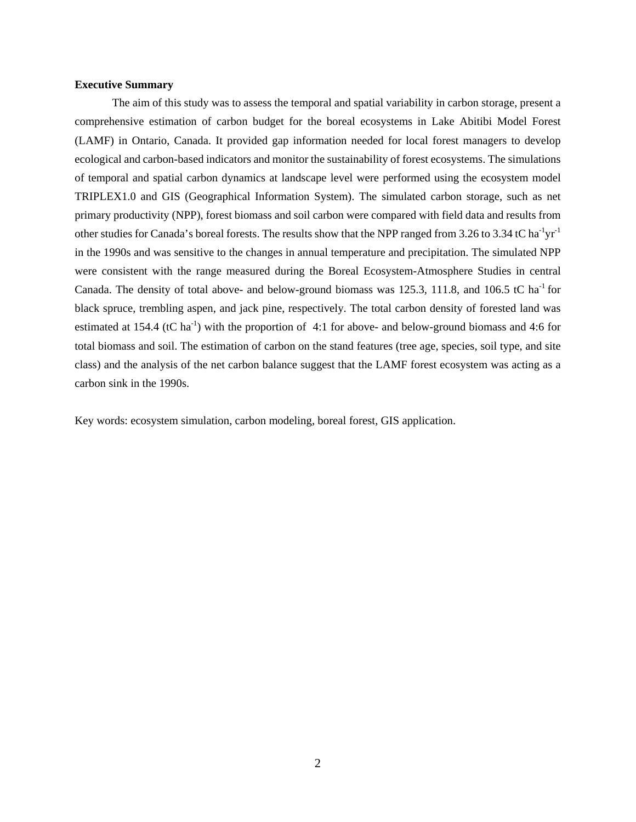#### **Executive Summary**

The aim of this study was to assess the temporal and spatial variability in carbon storage, present a comprehensive estimation of carbon budget for the boreal ecosystems in Lake Abitibi Model Forest (LAMF) in Ontario, Canada. It provided gap information needed for local forest managers to develop ecological and carbon-based indicators and monitor the sustainability of forest ecosystems. The simulations of temporal and spatial carbon dynamics at landscape level were performed using the ecosystem model TRIPLEX1.0 and GIS (Geographical Information System). The simulated carbon storage, such as net primary productivity (NPP), forest biomass and soil carbon were compared with field data and results from other studies for Canada's boreal forests. The results show that the NPP ranged from 3.26 to 3.34 tC ha<sup>-1</sup>yr<sup>-1</sup> in the 1990s and was sensitive to the changes in annual temperature and precipitation. The simulated NPP were consistent with the range measured during the Boreal Ecosystem-Atmosphere Studies in central Canada. The density of total above- and below-ground biomass was 125.3, 111.8, and 106.5 tC ha<sup>-1</sup> for black spruce, trembling aspen, and jack pine, respectively. The total carbon density of forested land was estimated at 154.4 (tC ha<sup>-1</sup>) with the proportion of 4:1 for above- and below-ground biomass and 4:6 for total biomass and soil. The estimation of carbon on the stand features (tree age, species, soil type, and site class) and the analysis of the net carbon balance suggest that the LAMF forest ecosystem was acting as a carbon sink in the 1990s.

Key words: ecosystem simulation, carbon modeling, boreal forest, GIS application.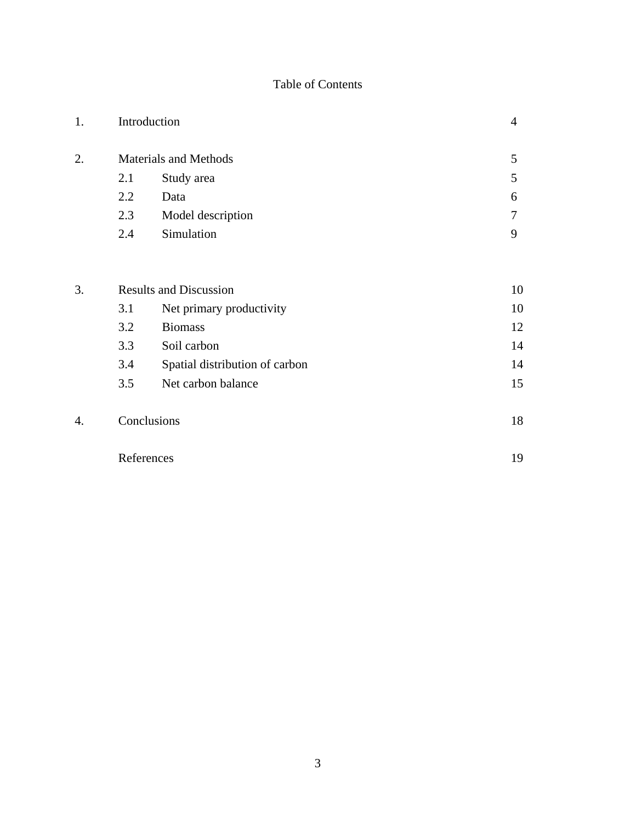### Table of Contents

| 1. |                               | Introduction                   | $\overline{4}$ |
|----|-------------------------------|--------------------------------|----------------|
| 2. | <b>Materials and Methods</b>  | 5                              |                |
|    | 2.1                           | Study area                     | 5              |
|    | 2.2                           | Data                           | 6              |
|    | 2.3                           | Model description              | 7              |
|    | 2.4                           | Simulation                     | 9              |
| 3. | <b>Results and Discussion</b> |                                | 10             |
|    | 3.1                           | Net primary productivity       | 10             |
|    | 3.2                           | <b>Biomass</b>                 | 12             |
|    | 3.3                           | Soil carbon                    | 14             |
|    | 3.4                           | Spatial distribution of carbon | 14             |
|    | 3.5                           | Net carbon balance             | 15             |
| 4. |                               | Conclusions                    | 18             |
|    |                               | References                     | 19             |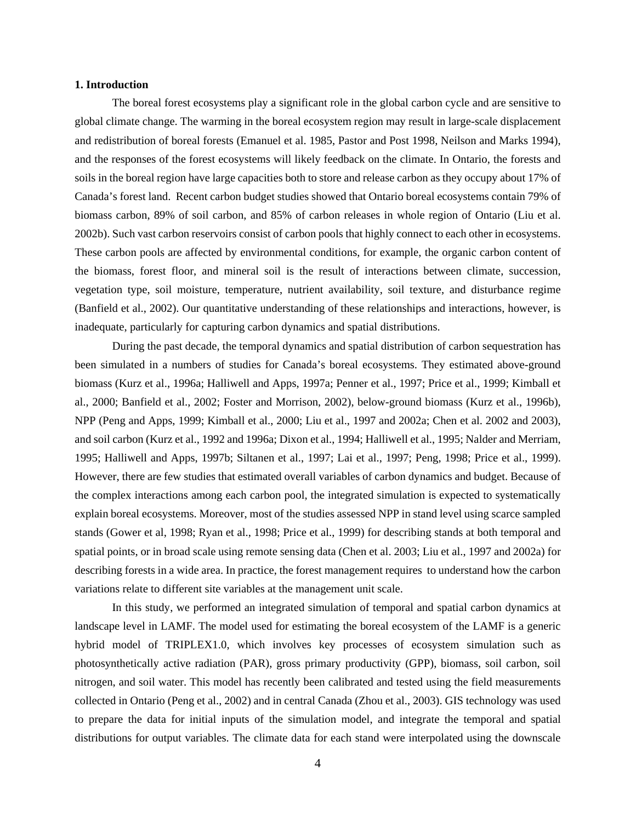#### **1. Introduction**

The boreal forest ecosystems play a significant role in the global carbon cycle and are sensitive to global climate change. The warming in the boreal ecosystem region may result in large-scale displacement and redistribution of boreal forests (Emanuel et al. 1985, Pastor and Post 1998, Neilson and Marks 1994), and the responses of the forest ecosystems will likely feedback on the climate. In Ontario, the forests and soils in the boreal region have large capacities both to store and release carbon as they occupy about 17% of Canada's forest land. Recent carbon budget studies showed that Ontario boreal ecosystems contain 79% of biomass carbon, 89% of soil carbon, and 85% of carbon releases in whole region of Ontario (Liu et al. 2002b). Such vast carbon reservoirs consist of carbon pools that highly connect to each other in ecosystems. These carbon pools are affected by environmental conditions, for example, the organic carbon content of the biomass, forest floor, and mineral soil is the result of interactions between climate, succession, vegetation type, soil moisture, temperature, nutrient availability, soil texture, and disturbance regime (Banfield et al., 2002). Our quantitative understanding of these relationships and interactions, however, is inadequate, particularly for capturing carbon dynamics and spatial distributions.

During the past decade, the temporal dynamics and spatial distribution of carbon sequestration has been simulated in a numbers of studies for Canada's boreal ecosystems. They estimated above-ground biomass (Kurz et al., 1996a; Halliwell and Apps, 1997a; Penner et al., 1997; Price et al., 1999; Kimball et al., 2000; Banfield et al., 2002; Foster and Morrison, 2002), below-ground biomass (Kurz et al., 1996b), NPP (Peng and Apps, 1999; Kimball et al., 2000; Liu et al., 1997 and 2002a; Chen et al. 2002 and 2003), and soil carbon (Kurz et al., 1992 and 1996a; Dixon et al., 1994; Halliwell et al., 1995; Nalder and Merriam, 1995; Halliwell and Apps, 1997b; Siltanen et al., 1997; Lai et al., 1997; Peng, 1998; Price et al., 1999). However, there are few studies that estimated overall variables of carbon dynamics and budget. Because of the complex interactions among each carbon pool, the integrated simulation is expected to systematically explain boreal ecosystems. Moreover, most of the studies assessed NPP in stand level using scarce sampled stands (Gower et al, 1998; Ryan et al., 1998; Price et al., 1999) for describing stands at both temporal and spatial points, or in broad scale using remote sensing data (Chen et al. 2003; Liu et al., 1997 and 2002a) for describing forests in a wide area. In practice, the forest management requires to understand how the carbon variations relate to different site variables at the management unit scale.

In this study, we performed an integrated simulation of temporal and spatial carbon dynamics at landscape level in LAMF. The model used for estimating the boreal ecosystem of the LAMF is a generic hybrid model of TRIPLEX1.0, which involves key processes of ecosystem simulation such as photosynthetically active radiation (PAR), gross primary productivity (GPP), biomass, soil carbon, soil nitrogen, and soil water. This model has recently been calibrated and tested using the field measurements collected in Ontario (Peng et al., 2002) and in central Canada (Zhou et al., 2003). GIS technology was used to prepare the data for initial inputs of the simulation model, and integrate the temporal and spatial distributions for output variables. The climate data for each stand were interpolated using the downscale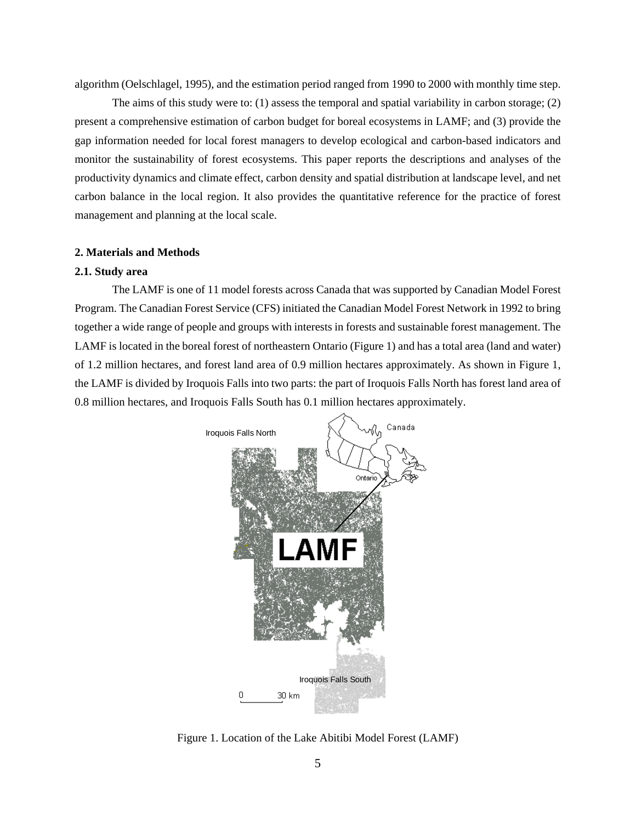algorithm (Oelschlagel, 1995), and the estimation period ranged from 1990 to 2000 with monthly time step.

The aims of this study were to: (1) assess the temporal and spatial variability in carbon storage; (2) present a comprehensive estimation of carbon budget for boreal ecosystems in LAMF; and (3) provide the gap information needed for local forest managers to develop ecological and carbon-based indicators and monitor the sustainability of forest ecosystems. This paper reports the descriptions and analyses of the productivity dynamics and climate effect, carbon density and spatial distribution at landscape level, and net carbon balance in the local region. It also provides the quantitative reference for the practice of forest management and planning at the local scale.

#### **2. Materials and Methods**

#### **2.1. Study area**

The LAMF is one of 11 model forests across Canada that was supported by Canadian Model Forest Program. The Canadian Forest Service (CFS) initiated the Canadian Model Forest Network in 1992 to bring together a wide range of people and groups with interests in forests and sustainable forest management. The LAMF is located in the boreal forest of northeastern Ontario (Figure 1) and has a total area (land and water) of 1.2 million hectares, and forest land area of 0.9 million hectares approximately. As shown in Figure 1, the LAMF is divided by Iroquois Falls into two parts: the part of Iroquois Falls North has forest land area of 0.8 million hectares, and Iroquois Falls South has 0.1 million hectares approximately.



Figure 1. Location of the Lake Abitibi Model Forest (LAMF)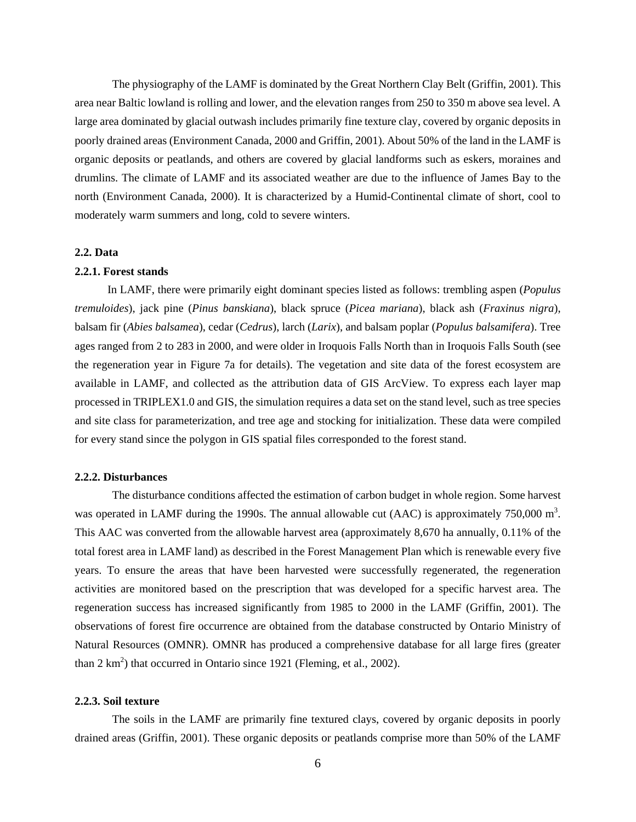The physiography of the LAMF is dominated by the Great Northern Clay Belt (Griffin, 2001). This area near Baltic lowland is rolling and lower, and the elevation ranges from 250 to 350 m above sea level. A large area dominated by glacial outwash includes primarily fine texture clay, covered by organic deposits in poorly drained areas (Environment Canada, 2000 and Griffin, 2001). About 50% of the land in the LAMF is organic deposits or peatlands, and others are covered by glacial landforms such as eskers, moraines and drumlins. The climate of LAMF and its associated weather are due to the influence of James Bay to the north (Environment Canada, 2000). It is characterized by a Humid-Continental climate of short, cool to moderately warm summers and long, cold to severe winters.

#### **2.2. Data**

#### **2.2.1. Forest stands**

In LAMF, there were primarily eight dominant species listed as follows: trembling aspen (*Populus tremuloides*), jack pine (*Pinus banskiana*), black spruce (*Picea mariana*), black ash (*Fraxinus nigra*), balsam fir (*Abies balsamea*), cedar (*Cedrus*), larch (*Larix*), and balsam poplar (*Populus balsamifera*). Tree ages ranged from 2 to 283 in 2000, and were older in Iroquois Falls North than in Iroquois Falls South (see the regeneration year in Figure 7a for details). The vegetation and site data of the forest ecosystem are available in LAMF, and collected as the attribution data of GIS ArcView. To express each layer map processed in TRIPLEX1.0 and GIS, the simulation requires a data set on the stand level, such as tree species and site class for parameterization, and tree age and stocking for initialization. These data were compiled for every stand since the polygon in GIS spatial files corresponded to the forest stand.

#### **2.2.2. Disturbances**

The disturbance conditions affected the estimation of carbon budget in whole region. Some harvest was operated in LAMF during the 1990s. The annual allowable cut (AAC) is approximately  $750,000 \text{ m}^3$ . This AAC was converted from the allowable harvest area (approximately 8,670 ha annually, 0.11% of the total forest area in LAMF land) as described in the Forest Management Plan which is renewable every five years. To ensure the areas that have been harvested were successfully regenerated, the regeneration activities are monitored based on the prescription that was developed for a specific harvest area. The regeneration success has increased significantly from 1985 to 2000 in the LAMF (Griffin, 2001). The observations of forest fire occurrence are obtained from the database constructed by Ontario Ministry of Natural Resources (OMNR). OMNR has produced a comprehensive database for all large fires (greater than  $2 \text{ km}^2$ ) that occurred in Ontario since 1921 (Fleming, et al., 2002).

#### **2.2.3. Soil texture**

The soils in the LAMF are primarily fine textured clays, covered by organic deposits in poorly drained areas (Griffin, 2001). These organic deposits or peatlands comprise more than 50% of the LAMF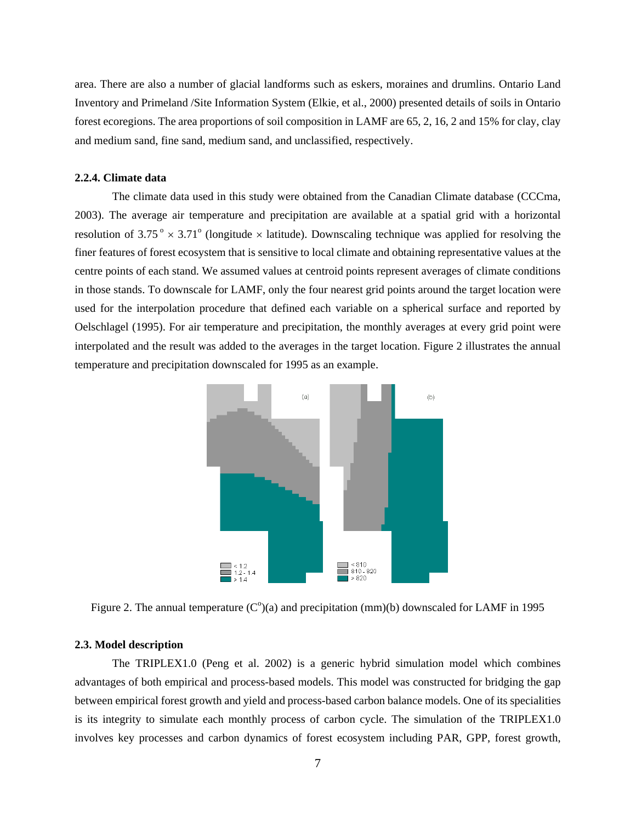area. There are also a number of glacial landforms such as eskers, moraines and drumlins. Ontario Land Inventory and Primeland /Site Information System (Elkie, et al., 2000) presented details of soils in Ontario forest ecoregions. The area proportions of soil composition in LAMF are 65, 2, 16, 2 and 15% for clay, clay and medium sand, fine sand, medium sand, and unclassified, respectively.

#### **2.2.4. Climate data**

The climate data used in this study were obtained from the Canadian Climate database (CCCma, 2003). The average air temperature and precipitation are available at a spatial grid with a horizontal resolution of  $3.75^\circ \times 3.71^\circ$  (longitude  $\times$  latitude). Downscaling technique was applied for resolving the finer features of forest ecosystem that is sensitive to local climate and obtaining representative values at the centre points of each stand. We assumed values at centroid points represent averages of climate conditions in those stands. To downscale for LAMF, only the four nearest grid points around the target location were used for the interpolation procedure that defined each variable on a spherical surface and reported by Oelschlagel (1995). For air temperature and precipitation, the monthly averages at every grid point were interpolated and the result was added to the averages in the target location. Figure 2 illustrates the annual temperature and precipitation downscaled for 1995 as an example.



Figure 2. The annual temperature  $(C<sup>o</sup>)(a)$  and precipitation (mm)(b) downscaled for LAMF in 1995

#### **2.3. Model description**

The TRIPLEX1.0 (Peng et al. 2002) is a generic hybrid simulation model which combines advantages of both empirical and process-based models. This model was constructed for bridging the gap between empirical forest growth and yield and process-based carbon balance models. One of its specialities is its integrity to simulate each monthly process of carbon cycle. The simulation of the TRIPLEX1.0 involves key processes and carbon dynamics of forest ecosystem including PAR, GPP, forest growth,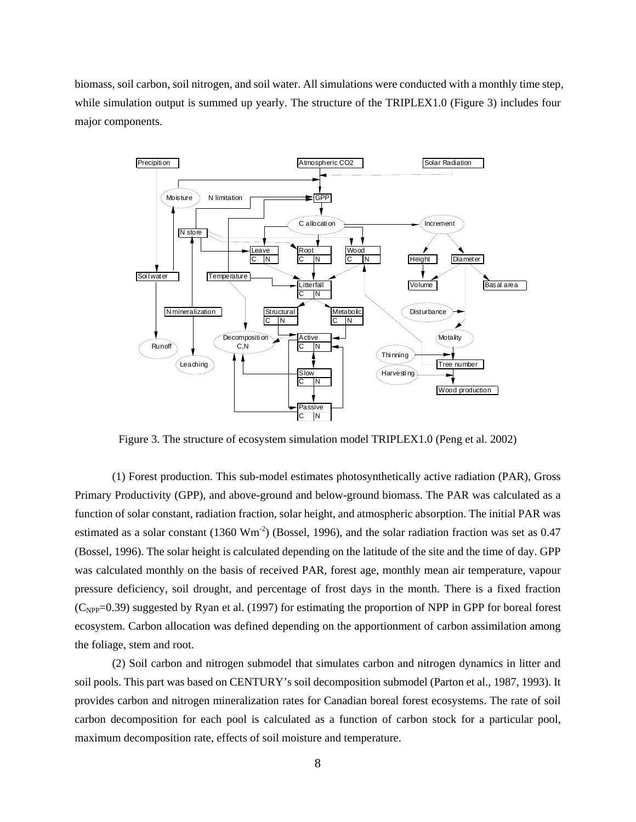biomass, soil carbon, soil nitrogen, and soil water. All simulations were conducted with a monthly time step, while simulation output is summed up yearly. The structure of the TRIPLEX1.0 (Figure 3) includes four major components.



Figure 3. The structure of ecosystem simulation model TRIPLEX1.0 (Peng et al. 2002)

(1) Forest production. This sub-model estimates photosynthetically active radiation (PAR), Gross Primary Productivity (GPP), and above-ground and below-ground biomass. The PAR was calculated as a function of solar constant, radiation fraction, solar height, and atmospheric absorption. The initial PAR was estimated as a solar constant (1360  $Wm<sup>2</sup>$ ) (Bossel, 1996), and the solar radiation fraction was set as 0.47 (Bossel, 1996). The solar height is calculated depending on the latitude of the site and the time of day. GPP was calculated monthly on the basis of received PAR, forest age, monthly mean air temperature, vapour pressure deficiency, soil drought, and percentage of frost days in the month. There is a fixed fraction  $(C_{NPP}=0.39)$  suggested by Ryan et al. (1997) for estimating the proportion of NPP in GPP for boreal forest ecosystem. Carbon allocation was defined depending on the apportionment of carbon assimilation among the foliage, stem and root.

(2) Soil carbon and nitrogen submodel that simulates carbon and nitrogen dynamics in litter and soil pools. This part was based on CENTURY's soil decomposition submodel (Parton et al., 1987, 1993). It provides carbon and nitrogen mineralization rates for Canadian boreal forest ecosystems. The rate of soil carbon decomposition for each pool is calculated as a function of carbon stock for a particular pool, maximum decomposition rate, effects of soil moisture and temperature.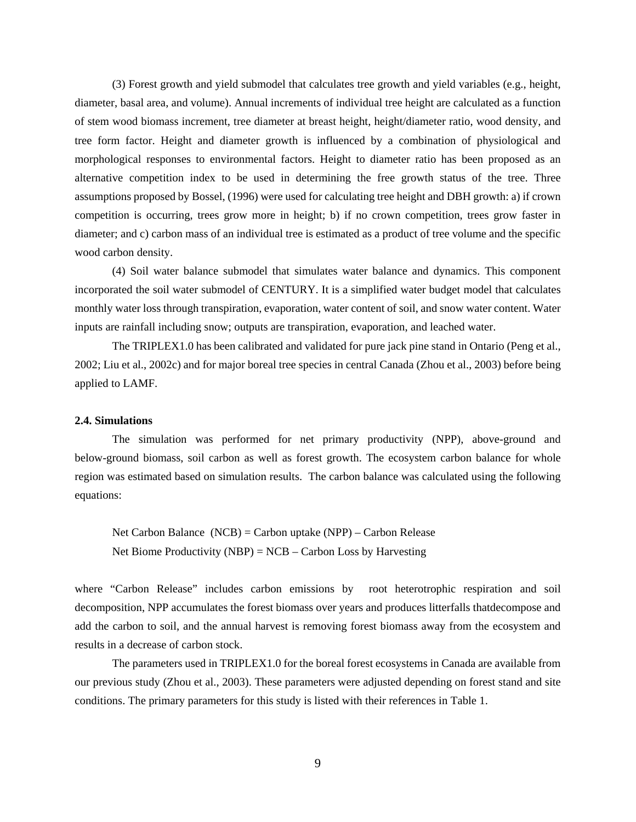(3) Forest growth and yield submodel that calculates tree growth and yield variables (e.g., height, diameter, basal area, and volume). Annual increments of individual tree height are calculated as a function of stem wood biomass increment, tree diameter at breast height, height/diameter ratio, wood density, and tree form factor. Height and diameter growth is influenced by a combination of physiological and morphological responses to environmental factors. Height to diameter ratio has been proposed as an alternative competition index to be used in determining the free growth status of the tree. Three assumptions proposed by Bossel, (1996) were used for calculating tree height and DBH growth: a) if crown competition is occurring, trees grow more in height; b) if no crown competition, trees grow faster in diameter; and c) carbon mass of an individual tree is estimated as a product of tree volume and the specific wood carbon density.

(4) Soil water balance submodel that simulates water balance and dynamics. This component incorporated the soil water submodel of CENTURY. It is a simplified water budget model that calculates monthly water loss through transpiration, evaporation, water content of soil, and snow water content. Water inputs are rainfall including snow; outputs are transpiration, evaporation, and leached water.

The TRIPLEX1.0 has been calibrated and validated for pure jack pine stand in Ontario (Peng et al., 2002; Liu et al., 2002c) and for major boreal tree species in central Canada (Zhou et al., 2003) before being applied to LAMF.

#### **2.4. Simulations**

The simulation was performed for net primary productivity (NPP), above-ground and below-ground biomass, soil carbon as well as forest growth. The ecosystem carbon balance for whole region was estimated based on simulation results. The carbon balance was calculated using the following equations:

Net Carbon Balance (NCB) = Carbon uptake (NPP) – Carbon Release Net Biome Productivity (NBP) =  $NCB - Carbon Loss$  by Harvesting

where "Carbon Release" includes carbon emissions by root heterotrophic respiration and soil decomposition, NPP accumulates the forest biomass over years and produces litterfalls thatdecompose and add the carbon to soil, and the annual harvest is removing forest biomass away from the ecosystem and results in a decrease of carbon stock.

The parameters used in TRIPLEX1.0 for the boreal forest ecosystems in Canada are available from our previous study (Zhou et al., 2003). These parameters were adjusted depending on forest stand and site conditions. The primary parameters for this study is listed with their references in Table 1.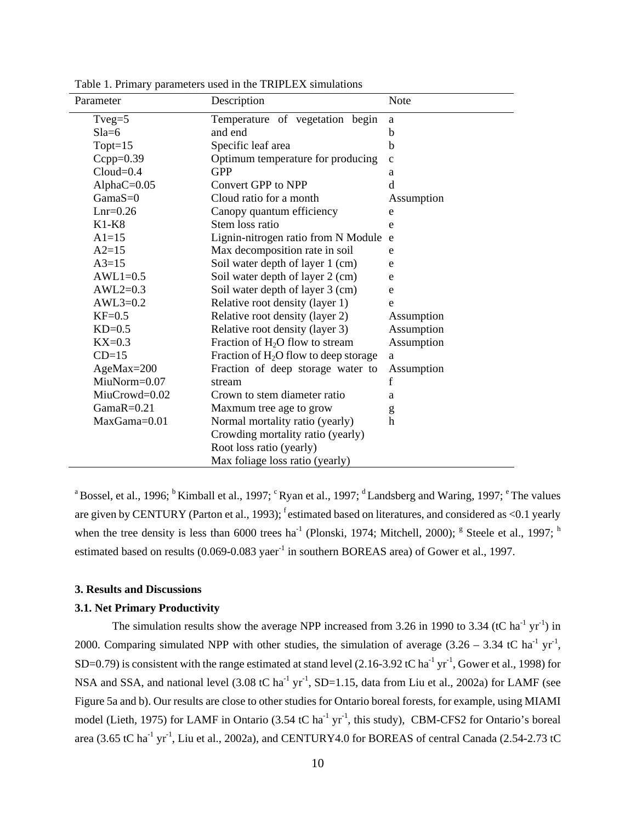| Parameter       | Description                             | <b>Note</b>  |
|-----------------|-----------------------------------------|--------------|
| Tveg= $5$       | Temperature of vegetation begin         | a            |
| $Sla=6$         | and end                                 | b            |
| $Topt=15$       | Specific leaf area                      | b            |
| $Cepp=0.39$     | Optimum temperature for producing       | $\mathbf{C}$ |
| $Cloud=0.4$     | <b>GPP</b>                              | a            |
| AlphaC= $0.05$  | Convert GPP to NPP                      | d            |
| Gama $S=0$      | Cloud ratio for a month                 | Assumption   |
| $Lnr=0.26$      | Canopy quantum efficiency               | e            |
| $K1-K8$         | Stem loss ratio                         | e            |
| $A1=15$         | Lignin-nitrogen ratio from N Module     | e            |
| $A2=15$         | Max decomposition rate in soil          | e            |
| $A3=15$         | Soil water depth of layer 1 (cm)        | e            |
| $AWL1=0.5$      | Soil water depth of layer 2 (cm)        | e            |
| $AWL2=0.3$      | Soil water depth of layer 3 (cm)        | e            |
| $AWL3=0.2$      | Relative root density (layer 1)         | e            |
| $KF=0.5$        | Relative root density (layer 2)         | Assumption   |
| $KD=0.5$        | Relative root density (layer 3)         | Assumption   |
| $\text{KX}=0.3$ | Fraction of $H_2O$ flow to stream       | Assumption   |
| $CD=15$         | Fraction of $H_2O$ flow to deep storage | a            |
| $AgeMax=200$    | Fraction of deep storage water to       | Assumption   |
| MiuNorm=0.07    | stream                                  | f            |
| MiuCrowd=0.02   | Crown to stem diameter ratio            | a            |
| $GamaR=0.21$    | Maxmum tree age to grow                 | g            |
| MaxGama=0.01    | Normal mortality ratio (yearly)         | $\mathbf h$  |
|                 | Crowding mortality ratio (yearly)       |              |
|                 | Root loss ratio (yearly)                |              |
|                 | Max foliage loss ratio (yearly)         |              |

Table 1. Primary parameters used in the TRIPLEX simulations

<sup>a</sup> Bossel, et al., 1996; <sup>b</sup> Kimball et al., 1997; <sup>c</sup> Ryan et al., 1997; <sup>d</sup> Landsberg and Waring, 1997; <sup>e</sup> The values are given by CENTURY (Parton et al., 1993); <sup>f</sup> estimated based on literatures, and considered as <0.1 yearly when the tree density is less than 6000 trees ha<sup>-1</sup> (Plonski, 1974; Mitchell, 2000); <sup>g</sup> Steele et al., 1997; <sup>h</sup> estimated based on results (0.069-0.083 yaer<sup>-1</sup> in southern BOREAS area) of Gower et al., 1997.

#### **3. Results and Discussions**

#### **3.1. Net Primary Productivity**

The simulation results show the average NPP increased from 3.26 in 1990 to 3.34 (tC ha<sup>-1</sup> yr<sup>-1</sup>) in 2000. Comparing simulated NPP with other studies, the simulation of average  $(3.26 - 3.34 \text{ tC h}a^{-1} \text{ yr}^{-1}$ , SD=0.79) is consistent with the range estimated at stand level (2.16-3.92 tC ha<sup>-1</sup> yr<sup>-1</sup>, Gower et al., 1998) for NSA and SSA, and national level  $(3.08 \text{ tC} \text{ ha}^{-1} \text{ yr}^{-1}$ , SD=1.15, data from Liu et al., 2002a) for LAMF (see Figure 5a and b). Our results are close to other studies for Ontario boreal forests, for example, using MIAMI model (Lieth, 1975) for LAMF in Ontario (3.54 tC ha<sup>-1</sup> yr<sup>-1</sup>, this study), CBM-CFS2 for Ontario's boreal area (3.65 tC ha<sup>-1</sup> yr<sup>-1</sup>, Liu et al., 2002a), and CENTURY4.0 for BOREAS of central Canada (2.54-2.73 tC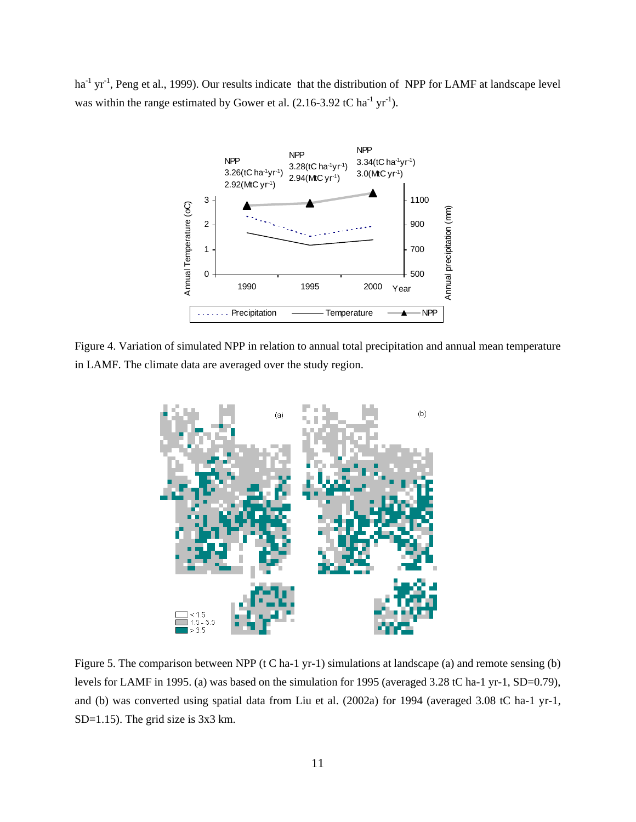ha<sup>-1</sup> yr<sup>-1</sup>, Peng et al., 1999). Our results indicate that the distribution of NPP for LAMF at landscape level was within the range estimated by Gower et al.  $(2.16-3.92 \text{ tC ha}^{-1} \text{ yr}^{-1})$ .



Figure 4. Variation of simulated NPP in relation to annual total precipitation and annual mean temperature in LAMF. The climate data are averaged over the study region.



Figure 5. The comparison between NPP (t C ha-1 yr-1) simulations at landscape (a) and remote sensing (b) levels for LAMF in 1995. (a) was based on the simulation for 1995 (averaged 3.28 tC ha-1 yr-1, SD=0.79), and (b) was converted using spatial data from Liu et al. (2002a) for 1994 (averaged 3.08 tC ha-1 yr-1, SD=1.15). The grid size is 3x3 km.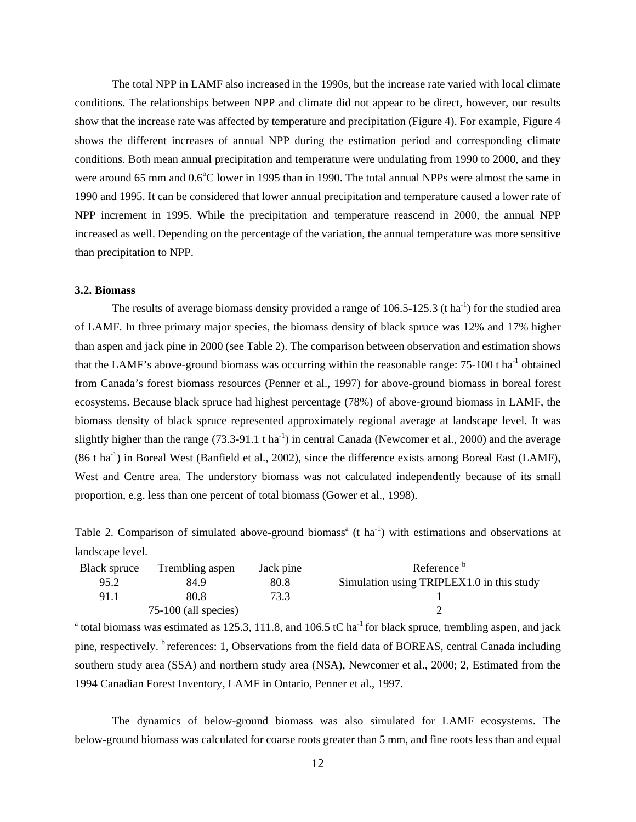The total NPP in LAMF also increased in the 1990s, but the increase rate varied with local climate conditions. The relationships between NPP and climate did not appear to be direct, however, our results show that the increase rate was affected by temperature and precipitation (Figure 4). For example, Figure 4 shows the different increases of annual NPP during the estimation period and corresponding climate conditions. Both mean annual precipitation and temperature were undulating from 1990 to 2000, and they were around 65 mm and  $0.6^{\circ}$ C lower in 1995 than in 1990. The total annual NPPs were almost the same in 1990 and 1995. It can be considered that lower annual precipitation and temperature caused a lower rate of NPP increment in 1995. While the precipitation and temperature reascend in 2000, the annual NPP increased as well. Depending on the percentage of the variation, the annual temperature was more sensitive than precipitation to NPP.

#### **3.2. Biomass**

The results of average biomass density provided a range of  $106.5$ -125.3 (t ha<sup>-1</sup>) for the studied area of LAMF. In three primary major species, the biomass density of black spruce was 12% and 17% higher than aspen and jack pine in 2000 (see Table 2). The comparison between observation and estimation shows that the LAMF's above-ground biomass was occurring within the reasonable range: 75-100 t ha-1 obtained from Canada's forest biomass resources (Penner et al., 1997) for above-ground biomass in boreal forest ecosystems. Because black spruce had highest percentage (78%) of above-ground biomass in LAMF, the biomass density of black spruce represented approximately regional average at landscape level. It was slightly higher than the range (73.3-91.1 t ha<sup>-1</sup>) in central Canada (Newcomer et al., 2000) and the average  $(86 \text{ t ha}^{-1})$  in Boreal West (Banfield et al., 2002), since the difference exists among Boreal East (LAMF), West and Centre area. The understory biomass was not calculated independently because of its small proportion, e.g. less than one percent of total biomass (Gower et al., 1998).

Table 2. Comparison of simulated above-ground biomass<sup>a</sup> (t ha<sup>-1</sup>) with estimations and observations at landscape level.

| Black spruce | Trembling aspen        | Jack pine | Reference <sup>b</sup>                    |
|--------------|------------------------|-----------|-------------------------------------------|
| 95.2         | 84.9                   | $80.8\,$  | Simulation using TRIPLEX1.0 in this study |
| 91.1         | 80.8                   | 73.3      |                                           |
|              | $75-100$ (all species) |           |                                           |

<sup>a</sup> total biomass was estimated as 125.3, 111.8, and 106.5 tC ha<sup>-1</sup> for black spruce, trembling aspen, and jack pine, respectively. <sup>b</sup> references: 1, Observations from the field data of BOREAS, central Canada including southern study area (SSA) and northern study area (NSA), Newcomer et al., 2000; 2, Estimated from the 1994 Canadian Forest Inventory, LAMF in Ontario, Penner et al., 1997.

The dynamics of below-ground biomass was also simulated for LAMF ecosystems. The below-ground biomass was calculated for coarse roots greater than 5 mm, and fine roots less than and equal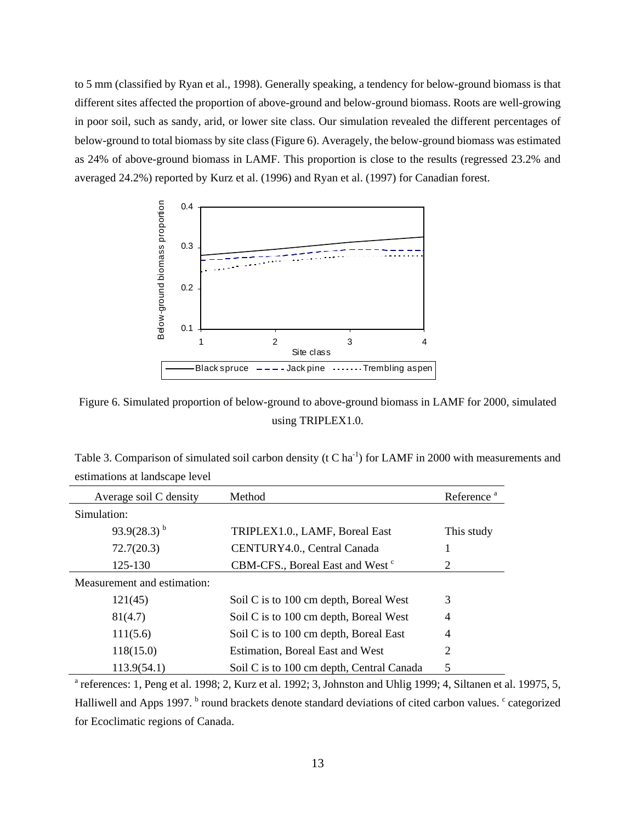to 5 mm (classified by Ryan et al., 1998). Generally speaking, a tendency for below-ground biomass is that different sites affected the proportion of above-ground and below-ground biomass. Roots are well-growing in poor soil, such as sandy, arid, or lower site class. Our simulation revealed the different percentages of below-ground to total biomass by site class (Figure 6). Averagely, the below-ground biomass was estimated as 24% of above-ground biomass in LAMF. This proportion is close to the results (regressed 23.2% and averaged 24.2%) reported by Kurz et al. (1996) and Ryan et al. (1997) for Canadian forest.



Figure 6. Simulated proportion of below-ground to above-ground biomass in LAMF for 2000, simulated using TRIPLEX1.0.

|                             | Method                                                                                                                    | Reference <sup>a</sup> |
|-----------------------------|---------------------------------------------------------------------------------------------------------------------------|------------------------|
| Average soil C density      |                                                                                                                           |                        |
| Simulation:                 |                                                                                                                           |                        |
| 93.9 $(28.3)^{b}$           | TRIPLEX1.0., LAMF, Boreal East                                                                                            | This study             |
| 72.7(20.3)                  | CENTURY4.0., Central Canada                                                                                               |                        |
| 125-130                     | CBM-CFS., Boreal East and West <sup>c</sup>                                                                               | 2                      |
| Measurement and estimation: |                                                                                                                           |                        |
| 121(45)                     | Soil C is to 100 cm depth, Boreal West                                                                                    | 3                      |
| 81(4.7)                     | Soil C is to 100 cm depth, Boreal West                                                                                    | 4                      |
| 111(5.6)                    | Soil C is to 100 cm depth, Boreal East                                                                                    | 4                      |
| 118(15.0)                   | Estimation, Boreal East and West                                                                                          | 2                      |
| 113.9(54.1)                 | Soil C is to 100 cm depth, Central Canada                                                                                 | 5                      |
|                             | $^{\circ}$ references: 1, Peng et al. 1998; 2, Kurz et al. 1992; 3, Johnston and Uhlig 1999; 4, Siltanen et al. 19975, 5, |                        |

Table 3. Comparison of simulated soil carbon density (t C ha<sup>-1</sup>) for LAMF in 2000 with measurements and estimations at landscape level

Halliwell and Apps 1997. <sup>b</sup> round brackets denote standard deviations of cited carbon values. <sup>c</sup> categorized for Ecoclimatic regions of Canada.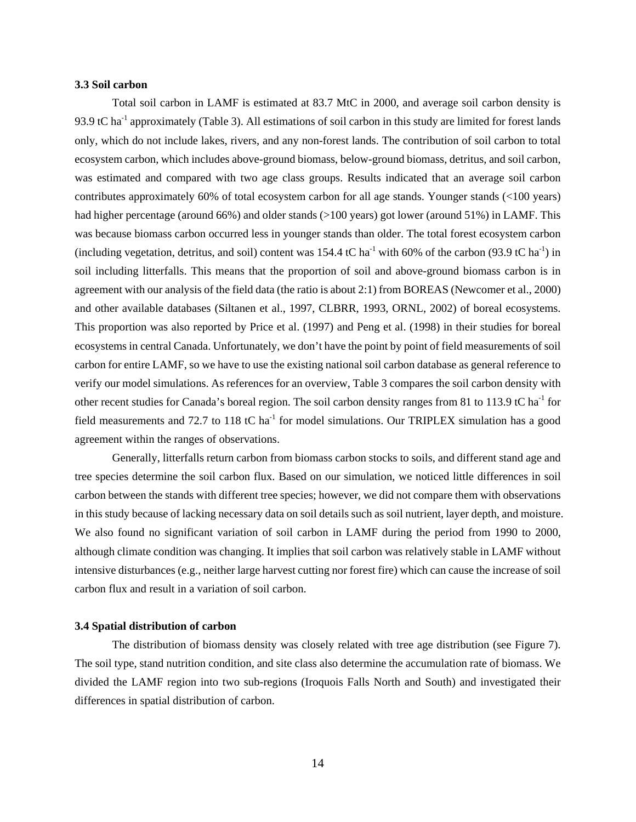#### **3.3 Soil carbon**

Total soil carbon in LAMF is estimated at 83.7 MtC in 2000, and average soil carbon density is 93.9 tC ha<sup>-1</sup> approximately (Table 3). All estimations of soil carbon in this study are limited for forest lands only, which do not include lakes, rivers, and any non-forest lands. The contribution of soil carbon to total ecosystem carbon, which includes above-ground biomass, below-ground biomass, detritus, and soil carbon, was estimated and compared with two age class groups. Results indicated that an average soil carbon contributes approximately 60% of total ecosystem carbon for all age stands. Younger stands (<100 years) had higher percentage (around 66%) and older stands (>100 years) got lower (around 51%) in LAMF. This was because biomass carbon occurred less in younger stands than older. The total forest ecosystem carbon (including vegetation, detritus, and soil) content was 154.4 tC ha<sup>-1</sup> with 60% of the carbon (93.9 tC ha<sup>-1</sup>) in soil including litterfalls. This means that the proportion of soil and above-ground biomass carbon is in agreement with our analysis of the field data (the ratio is about 2:1) from BOREAS (Newcomer et al., 2000) and other available databases (Siltanen et al., 1997, CLBRR, 1993, ORNL, 2002) of boreal ecosystems. This proportion was also reported by Price et al. (1997) and Peng et al. (1998) in their studies for boreal ecosystems in central Canada. Unfortunately, we don't have the point by point of field measurements of soil carbon for entire LAMF, so we have to use the existing national soil carbon database as general reference to verify our model simulations. As references for an overview, Table 3 compares the soil carbon density with other recent studies for Canada's boreal region. The soil carbon density ranges from 81 to 113.9 tC ha<sup>-1</sup> for field measurements and 72.7 to 118 tC ha<sup>-1</sup> for model simulations. Our TRIPLEX simulation has a good agreement within the ranges of observations.

Generally, litterfalls return carbon from biomass carbon stocks to soils, and different stand age and tree species determine the soil carbon flux. Based on our simulation, we noticed little differences in soil carbon between the stands with different tree species; however, we did not compare them with observations in this study because of lacking necessary data on soil details such as soil nutrient, layer depth, and moisture. We also found no significant variation of soil carbon in LAMF during the period from 1990 to 2000, although climate condition was changing. It implies that soil carbon was relatively stable in LAMF without intensive disturbances (e.g., neither large harvest cutting nor forest fire) which can cause the increase of soil carbon flux and result in a variation of soil carbon.

#### **3.4 Spatial distribution of carbon**

The distribution of biomass density was closely related with tree age distribution (see Figure 7). The soil type, stand nutrition condition, and site class also determine the accumulation rate of biomass. We divided the LAMF region into two sub-regions (Iroquois Falls North and South) and investigated their differences in spatial distribution of carbon.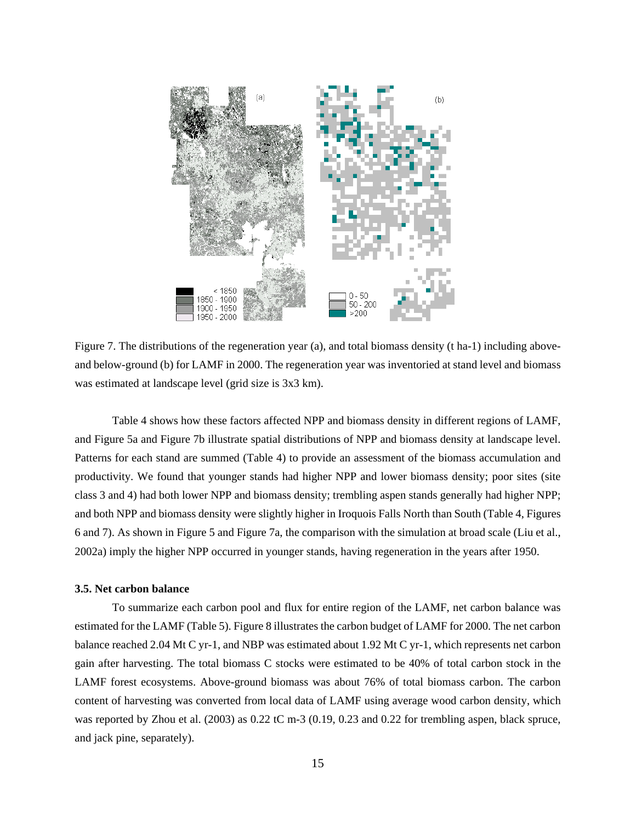

Figure 7. The distributions of the regeneration year (a), and total biomass density (t ha-1) including aboveand below-ground (b) for LAMF in 2000. The regeneration year was inventoried at stand level and biomass was estimated at landscape level (grid size is 3x3 km).

Table 4 shows how these factors affected NPP and biomass density in different regions of LAMF, and Figure 5a and Figure 7b illustrate spatial distributions of NPP and biomass density at landscape level. Patterns for each stand are summed (Table 4) to provide an assessment of the biomass accumulation and productivity. We found that younger stands had higher NPP and lower biomass density; poor sites (site class 3 and 4) had both lower NPP and biomass density; trembling aspen stands generally had higher NPP; and both NPP and biomass density were slightly higher in Iroquois Falls North than South (Table 4, Figures 6 and 7). As shown in Figure 5 and Figure 7a, the comparison with the simulation at broad scale (Liu et al., 2002a) imply the higher NPP occurred in younger stands, having regeneration in the years after 1950.

#### **3.5. Net carbon balance**

To summarize each carbon pool and flux for entire region of the LAMF, net carbon balance was estimated for the LAMF (Table 5). Figure 8 illustrates the carbon budget of LAMF for 2000. The net carbon balance reached 2.04 Mt C yr-1, and NBP was estimated about 1.92 Mt C yr-1, which represents net carbon gain after harvesting. The total biomass C stocks were estimated to be 40% of total carbon stock in the LAMF forest ecosystems. Above-ground biomass was about 76% of total biomass carbon. The carbon content of harvesting was converted from local data of LAMF using average wood carbon density, which was reported by Zhou et al. (2003) as 0.22 tC m-3 (0.19, 0.23 and 0.22 for trembling aspen, black spruce, and jack pine, separately).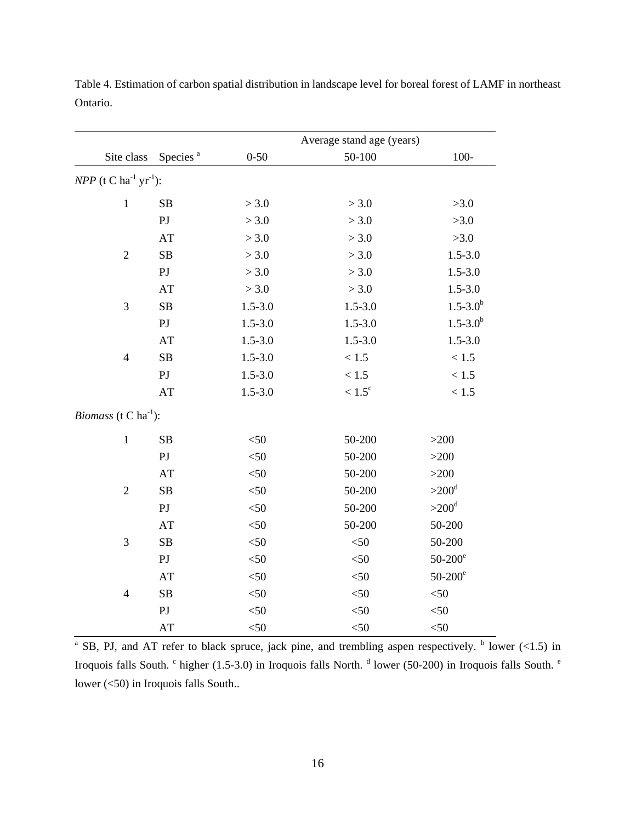|                                                      |                      |             | Average stand age (years) |                     |
|------------------------------------------------------|----------------------|-------------|---------------------------|---------------------|
| Site class                                           | Species <sup>a</sup> | $0 - 50$    | 50-100                    | $100 -$             |
| <i>NPP</i> (t C ha <sup>-1</sup> yr <sup>-1</sup> ): |                      |             |                           |                     |
| $\mathbf{1}$                                         | SB                   | > 3.0       | > 3.0                     | >3.0                |
|                                                      | $\mathop{\rm PJ}$    | > 3.0       | > 3.0                     | >3.0                |
|                                                      | AT                   | > 3.0       | > 3.0                     | >3.0                |
| $\overline{2}$                                       | SB                   | > 3.0       | > 3.0                     | $1.5 - 3.0$         |
|                                                      | P <sub>J</sub>       | > 3.0       | > 3.0                     | $1.5 - 3.0$         |
|                                                      | AT                   | > 3.0       | > 3.0                     | $1.5 - 3.0$         |
| $\mathfrak{Z}$                                       | $\rm SB$             | $1.5 - 3.0$ | $1.5 - 3.0$               | $1.5 - 3.0b$        |
|                                                      | P <sub>J</sub>       | $1.5 - 3.0$ | $1.5 - 3.0$               | $1.5 - 3.0b$        |
|                                                      | AT                   | $1.5 - 3.0$ | $1.5 - 3.0$               | $1.5 - 3.0$         |
| $\overline{4}$                                       | SB                   | $1.5 - 3.0$ | < 1.5                     | $<1.5\,$            |
|                                                      | ${\rm PJ}$           | $1.5 - 3.0$ | $<1.5\,$                  | $<1.5\,$            |
|                                                      | AT                   | $1.5 - 3.0$ | $< 1.5^{\rm c}$           | $<1.5\,$            |
| <i>Biomass</i> ( $t C h a^{-1}$ ):                   |                      |             |                           |                     |
| $\mathbf 1$                                          | ${\bf SB}$           | $< 50$      | 50-200                    | >200                |
|                                                      | P <sub>J</sub>       | $<$ 50      | 50-200                    | $>200$              |
|                                                      | AT                   | $<$ 50      | 50-200                    | $>200$              |
| $\sqrt{2}$                                           | $\rm SB$             | $<$ 50      | 50-200                    | $>200$ <sup>d</sup> |
|                                                      | P <sub>J</sub>       | $< 50$      | 50-200                    | $>200^{\rm d}$      |
|                                                      | AT                   | $< 50$      | 50-200                    | 50-200              |
| 3                                                    | ${\bf SB}$           | $< 50$      | $< 50$                    | 50-200              |
|                                                      | ${\rm PJ}$           | $<$ 50      | $<$ 50                    | $50 - 200^e$        |
|                                                      | AT                   | $<$ 50      | $<$ 50                    | $50 - 200^e$        |
| $\overline{4}$                                       | $\rm SB$             | $<$ 50      | $<$ 50                    | $<$ 50              |
|                                                      | ${\rm PJ}$           | $<$ 50      | $< 50$                    | < 50                |
|                                                      | AT                   | $< 50$      | $< 50$                    | $< 50$              |

Table 4. Estimation of carbon spatial distribution in landscape level for boreal forest of LAMF in northeast Ontario.

<sup>a</sup> SB, PJ, and AT refer to black spruce, jack pine, and trembling aspen respectively. <sup>b</sup> lower (<1.5) in Iroquois falls South. <sup>c</sup> higher (1.5-3.0) in Iroquois falls North. <sup>d</sup> lower (50-200) in Iroquois falls South. <sup>e</sup> lower (<50) in Iroquois falls South..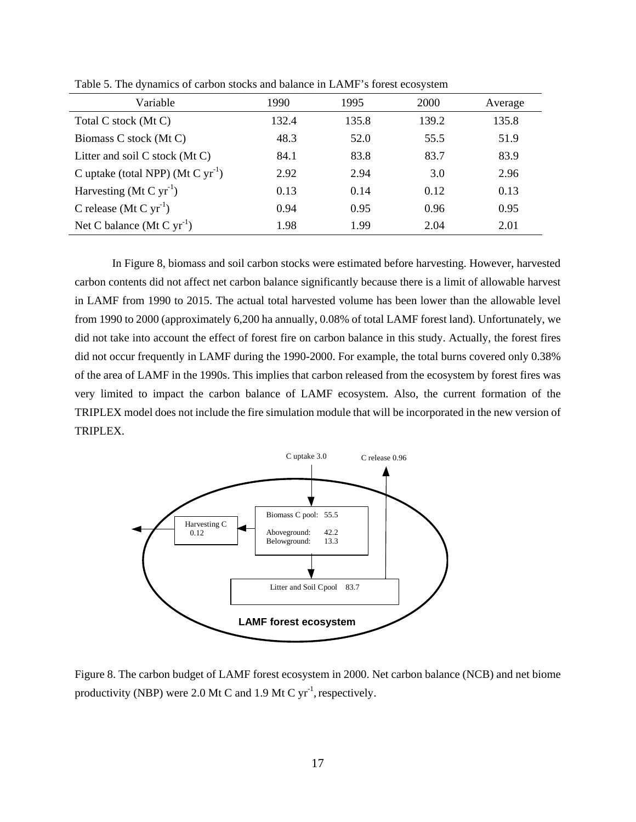| Variable                               | 1990  | 1995  | 2000  | Average |
|----------------------------------------|-------|-------|-------|---------|
| Total C stock (Mt C)                   | 132.4 | 135.8 | 139.2 | 135.8   |
| Biomass C stock (Mt C)                 | 48.3  | 52.0  | 55.5  | 51.9    |
| Litter and soil C stock (Mt C)         | 84.1  | 83.8  | 83.7  | 83.9    |
| C uptake (total NPP) (Mt C $yr^{-1}$ ) | 2.92  | 2.94  | 3.0   | 2.96    |
| Harvesting (Mt C $yr^{-1}$ )           | 0.13  | 0.14  | 0.12  | 0.13    |
| C release (Mt C $yr^{-1}$ )            | 0.94  | 0.95  | 0.96  | 0.95    |
| Net C balance (Mt C $yr^{-1}$ )        | 1.98  | 1.99  | 2.04  | 2.01    |

Table 5. The dynamics of carbon stocks and balance in LAMF's forest ecosystem

In Figure 8, biomass and soil carbon stocks were estimated before harvesting. However, harvested carbon contents did not affect net carbon balance significantly because there is a limit of allowable harvest in LAMF from 1990 to 2015. The actual total harvested volume has been lower than the allowable level from 1990 to 2000 (approximately 6,200 ha annually, 0.08% of total LAMF forest land). Unfortunately, we did not take into account the effect of forest fire on carbon balance in this study. Actually, the forest fires did not occur frequently in LAMF during the 1990-2000. For example, the total burns covered only 0.38% of the area of LAMF in the 1990s. This implies that carbon released from the ecosystem by forest fires was very limited to impact the carbon balance of LAMF ecosystem. Also, the current formation of the TRIPLEX model does not include the fire simulation module that will be incorporated in the new version of TRIPLEX.



Figure 8. The carbon budget of LAMF forest ecosystem in 2000. Net carbon balance (NCB) and net biome productivity (NBP) were 2.0 Mt C and 1.9 Mt C yr<sup>-1</sup>, respectively.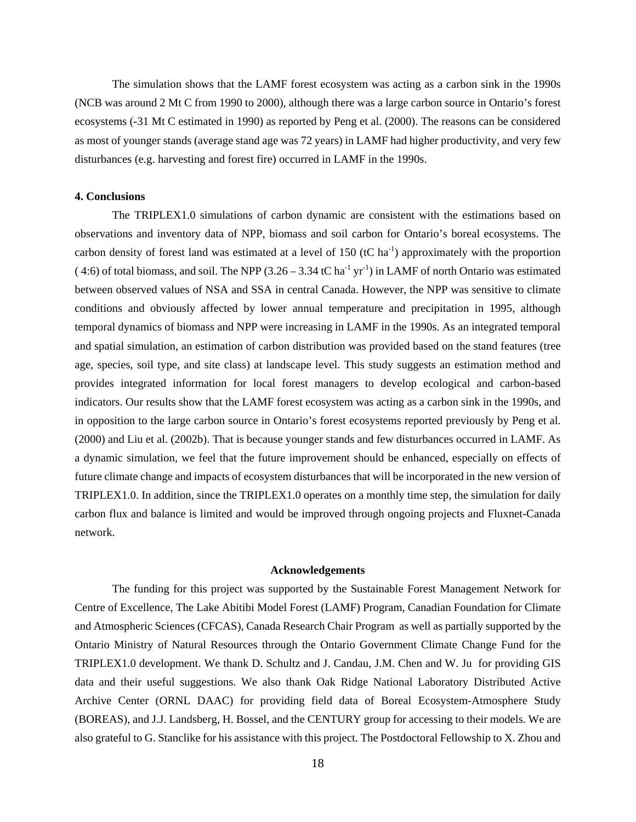The simulation shows that the LAMF forest ecosystem was acting as a carbon sink in the 1990s (NCB was around 2 Mt C from 1990 to 2000), although there was a large carbon source in Ontario's forest ecosystems (-31 Mt C estimated in 1990) as reported by Peng et al. (2000). The reasons can be considered as most of younger stands (average stand age was 72 years) in LAMF had higher productivity, and very few disturbances (e.g. harvesting and forest fire) occurred in LAMF in the 1990s.

#### **4. Conclusions**

The TRIPLEX1.0 simulations of carbon dynamic are consistent with the estimations based on observations and inventory data of NPP, biomass and soil carbon for Ontario's boreal ecosystems. The carbon density of forest land was estimated at a level of 150 (tC ha<sup>-1</sup>) approximately with the proportion ( 4:6) of total biomass, and soil. The NPP (3.26 – 3.34 tC ha<sup>-1</sup> yr<sup>-1</sup>) in LAMF of north Ontario was estimated between observed values of NSA and SSA in central Canada. However, the NPP was sensitive to climate conditions and obviously affected by lower annual temperature and precipitation in 1995, although temporal dynamics of biomass and NPP were increasing in LAMF in the 1990s. As an integrated temporal and spatial simulation, an estimation of carbon distribution was provided based on the stand features (tree age, species, soil type, and site class) at landscape level. This study suggests an estimation method and provides integrated information for local forest managers to develop ecological and carbon-based indicators. Our results show that the LAMF forest ecosystem was acting as a carbon sink in the 1990s, and in opposition to the large carbon source in Ontario's forest ecosystems reported previously by Peng et al. (2000) and Liu et al. (2002b). That is because younger stands and few disturbances occurred in LAMF. As a dynamic simulation, we feel that the future improvement should be enhanced, especially on effects of future climate change and impacts of ecosystem disturbances that will be incorporated in the new version of TRIPLEX1.0. In addition, since the TRIPLEX1.0 operates on a monthly time step, the simulation for daily carbon flux and balance is limited and would be improved through ongoing projects and Fluxnet-Canada network.

#### **Acknowledgements**

The funding for this project was supported by the Sustainable Forest Management Network for Centre of Excellence, The Lake Abitibi Model Forest (LAMF) Program, Canadian Foundation for Climate and Atmospheric Sciences (CFCAS), Canada Research Chair Program as well as partially supported by the Ontario Ministry of Natural Resources through the Ontario Government Climate Change Fund for the TRIPLEX1.0 development. We thank D. Schultz and J. Candau, J.M. Chen and W. Ju for providing GIS data and their useful suggestions. We also thank Oak Ridge National Laboratory Distributed Active Archive Center (ORNL DAAC) for providing field data of Boreal Ecosystem-Atmosphere Study (BOREAS), and J.J. Landsberg, H. Bossel, and the CENTURY group for accessing to their models. We are also grateful to G. Stanclike for his assistance with this project. The Postdoctoral Fellowship to X. Zhou and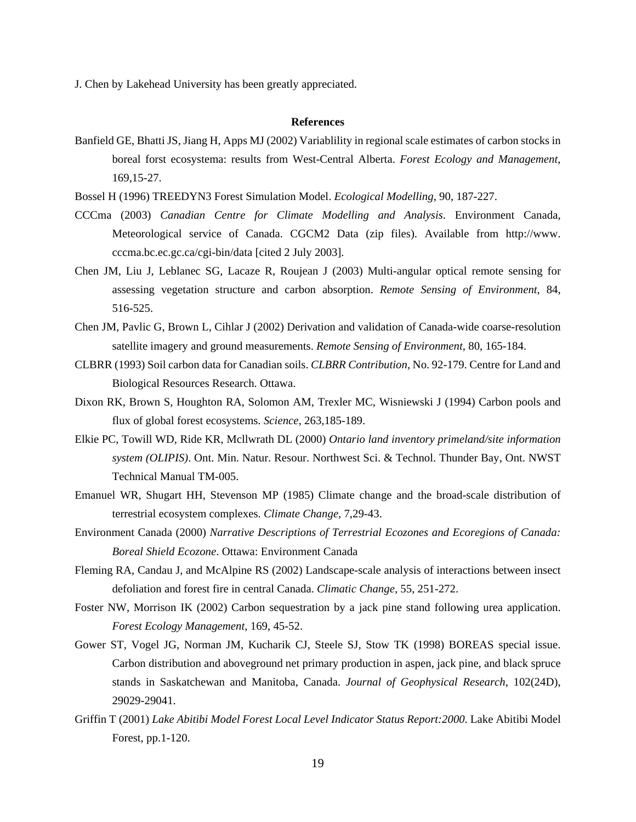J. Chen by Lakehead University has been greatly appreciated.

#### **References**

- Banfield GE, Bhatti JS, Jiang H, Apps MJ (2002) Variablility in regional scale estimates of carbon stocks in boreal forst ecosystema: results from West-Central Alberta. *Forest Ecology and Management*, 169,15-27.
- Bossel H (1996) TREEDYN3 Forest Simulation Model. *Ecological Modelling*, 90, 187-227.
- CCCma (2003) *Canadian Centre for Climate Modelling and Analysis*. Environment Canada, Meteorological service of Canada. CGCM2 Data (zip files). Available from http://www. cccma.bc.ec.gc.ca/cgi-bin/data [cited 2 July 2003].
- Chen JM, Liu J, Leblanec SG, Lacaze R, Roujean J (2003) Multi-angular optical remote sensing for assessing vegetation structure and carbon absorption. *Remote Sensing of Environment*, 84, 516-525.
- Chen JM, Pavlic G, Brown L, Cihlar J (2002) Derivation and validation of Canada-wide coarse-resolution satellite imagery and ground measurements. *Remote Sensing of Environment*, 80, 165-184.
- CLBRR (1993) Soil carbon data for Canadian soils. *CLBRR Contribution*, No. 92-179. Centre for Land and Biological Resources Research. Ottawa.
- Dixon RK, Brown S, Houghton RA, Solomon AM, Trexler MC, Wisniewski J (1994) Carbon pools and flux of global forest ecosystems. *Science*, 263,185-189.
- Elkie PC, Towill WD, Ride KR, Mcllwrath DL (2000) *Ontario land inventory primeland/site information system (OLIPIS)*. Ont. Min. Natur. Resour. Northwest Sci. & Technol. Thunder Bay, Ont. NWST Technical Manual TM-005.
- Emanuel WR, Shugart HH, Stevenson MP (1985) Climate change and the broad-scale distribution of terrestrial ecosystem complexes. *Climate Change*, 7,29-43.
- Environment Canada (2000) *Narrative Descriptions of Terrestrial Ecozones and Ecoregions of Canada: Boreal Shield Ecozone*. Ottawa: Environment Canada
- Fleming RA, Candau J, and McAlpine RS (2002) Landscape-scale analysis of interactions between insect defoliation and forest fire in central Canada. *Climatic Change*, 55, 251-272.
- Foster NW, Morrison IK (2002) Carbon sequestration by a jack pine stand following urea application. *Forest Ecology Management*, 169, 45-52.
- Gower ST, Vogel JG, Norman JM, Kucharik CJ, Steele SJ, Stow TK (1998) BOREAS special issue. Carbon distribution and aboveground net primary production in aspen, jack pine, and black spruce stands in Saskatchewan and Manitoba, Canada. *Journal of Geophysical Research*, 102(24D), 29029-29041.
- Griffin T (2001) *Lake Abitibi Model Forest Local Level Indicator Status Report:2000*. Lake Abitibi Model Forest, pp.1-120.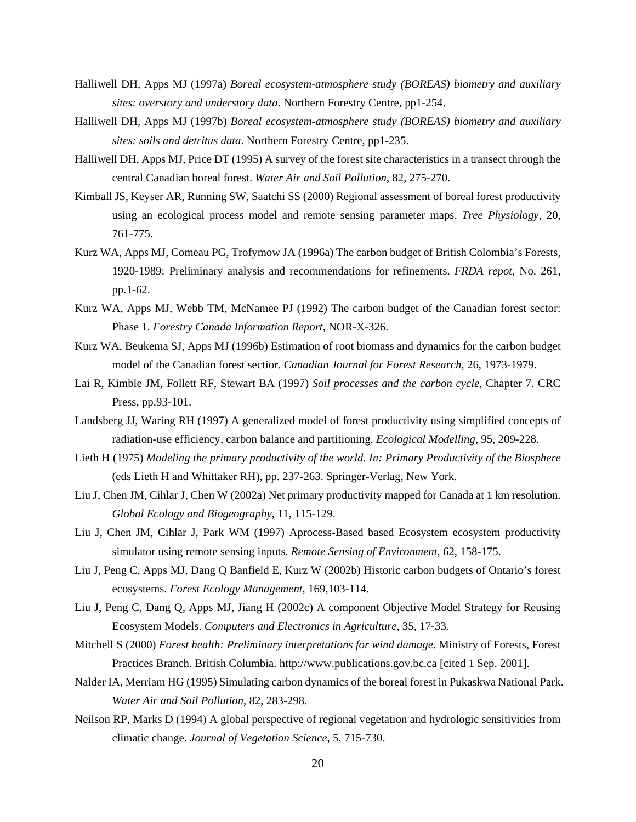- Halliwell DH, Apps MJ (1997a) *Boreal ecosystem-atmosphere study (BOREAS) biometry and auxiliary sites: overstory and understory data*. Northern Forestry Centre, pp1-254.
- Halliwell DH, Apps MJ (1997b) *Boreal ecosystem-atmosphere study (BOREAS) biometry and auxiliary sites: soils and detritus data*. Northern Forestry Centre, pp1-235.
- Halliwell DH, Apps MJ, Price DT (1995) A survey of the forest site characteristics in a transect through the central Canadian boreal forest. *Water Air and Soil Pollution*, 82, 275-270.
- Kimball JS, Keyser AR, Running SW, Saatchi SS (2000) Regional assessment of boreal forest productivity using an ecological process model and remote sensing parameter maps. *Tree Physiology*, 20, 761-775.
- Kurz WA, Apps MJ, Comeau PG, Trofymow JA (1996a) The carbon budget of British Colombia's Forests, 1920-1989: Preliminary analysis and recommendations for refinements. *FRDA repot*, No. 261, pp.1-62.
- Kurz WA, Apps MJ, Webb TM, McNamee PJ (1992) The carbon budget of the Canadian forest sector: Phase 1. *Forestry Canada Information Report*, NOR-X-326.
- Kurz WA, Beukema SJ, Apps MJ (1996b) Estimation of root biomass and dynamics for the carbon budget model of the Canadian forest sectior. *Canadian Journal for Forest Research*, 26, 1973-1979.
- Lai R, Kimble JM, Follett RF, Stewart BA (1997) *Soil processes and the carbon cycle*, Chapter 7. CRC Press, pp.93-101.
- Landsberg JJ, Waring RH (1997) A generalized model of forest productivity using simplified concepts of radiation-use efficiency, carbon balance and partitioning. *Ecological Modelling*, 95, 209-228.
- Lieth H (1975) *Modeling the primary productivity of the world. In: Primary Productivity of the Biosphere* (eds Lieth H and Whittaker RH), pp. 237-263. Springer-Verlag, New York.
- Liu J, Chen JM, Cihlar J, Chen W (2002a) Net primary productivity mapped for Canada at 1 km resolution. *Global Ecology and Biogeography*, 11, 115-129.
- Liu J, Chen JM, Cihlar J, Park WM (1997) Aprocess-Based based Ecosystem ecosystem productivity simulator using remote sensing inputs. *Remote Sensing of Environment*, 62, 158-175.
- Liu J, Peng C, Apps MJ, Dang Q Banfield E, Kurz W (2002b) Historic carbon budgets of Ontario's forest ecosystems. *Forest Ecology Management*, 169,103-114.
- Liu J, Peng C, Dang Q, Apps MJ, Jiang H (2002c) A component Objective Model Strategy for Reusing Ecosystem Models. *Computers and Electronics in Agriculture*, 35, 17-33.
- Mitchell S (2000) *Forest health: Preliminary interpretations for wind damage*. Ministry of Forests, Forest Practices Branch. British Columbia. http://www.publications.gov.bc.ca [cited 1 Sep. 2001].
- Nalder IA, Merriam HG (1995) Simulating carbon dynamics of the boreal forest in Pukaskwa National Park. *Water Air and Soil Pollution*, 82, 283-298.
- Neilson RP, Marks D (1994) A global perspective of regional vegetation and hydrologic sensitivities from climatic change. *Journal of Vegetation Science*, 5, 715-730.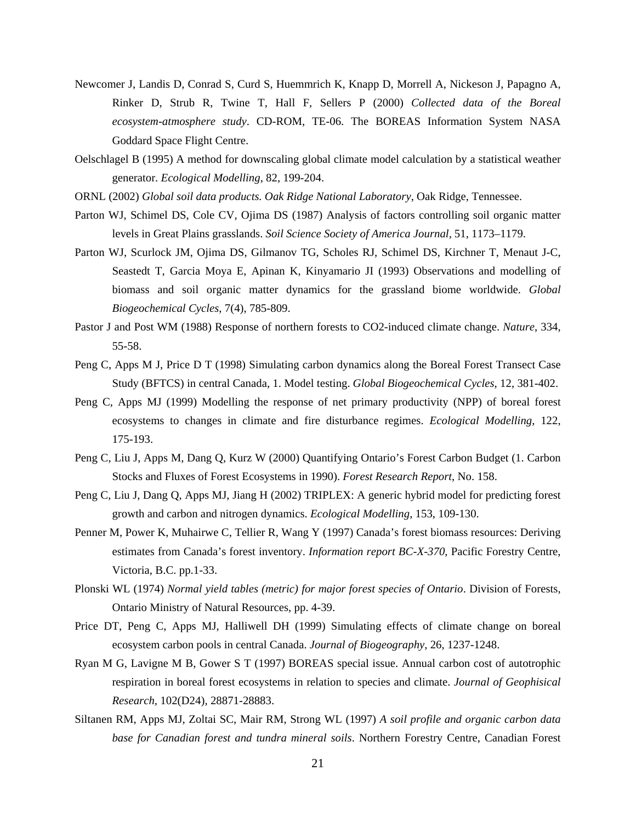- Newcomer J, Landis D, Conrad S, Curd S, Huemmrich K, Knapp D, Morrell A, Nickeson J, Papagno A, Rinker D, Strub R, Twine T, Hall F, Sellers P (2000) *Collected data of the Boreal ecosystem-atmosphere study*. CD-ROM, TE-06. The BOREAS Information System NASA Goddard Space Flight Centre.
- Oelschlagel B (1995) A method for downscaling global climate model calculation by a statistical weather generator. *Ecological Modelling*, 82, 199-204.
- ORNL (2002) *Global soil data products. Oak Ridge National Laboratory*, Oak Ridge, Tennessee.
- Parton WJ, Schimel DS, Cole CV, Ojima DS (1987) Analysis of factors controlling soil organic matter levels in Great Plains grasslands. *Soil Science Society of America Journal,* 51, 1173–1179.
- Parton WJ, Scurlock JM, Ojima DS, Gilmanov TG, Scholes RJ, Schimel DS, Kirchner T, Menaut J-C, Seastedt T, Garcia Moya E, Apinan K, Kinyamario JI (1993) Observations and modelling of biomass and soil organic matter dynamics for the grassland biome worldwide. *Global Biogeochemical Cycles*, 7(4), 785-809.
- Pastor J and Post WM (1988) Response of northern forests to CO2-induced climate change. *Nature*, 334, 55-58.
- Peng C, Apps M J, Price D T (1998) Simulating carbon dynamics along the Boreal Forest Transect Case Study (BFTCS) in central Canada, 1. Model testing. *Global Biogeochemical Cycles*, 12, 381-402.
- Peng C, Apps MJ (1999) Modelling the response of net primary productivity (NPP) of boreal forest ecosystems to changes in climate and fire disturbance regimes. *Ecological Modelling*, 122, 175-193.
- Peng C, Liu J, Apps M, Dang Q, Kurz W (2000) Quantifying Ontario's Forest Carbon Budget (1. Carbon Stocks and Fluxes of Forest Ecosystems in 1990). *Forest Research Report*, No. 158.
- Peng C, Liu J, Dang Q, Apps MJ, Jiang H (2002) TRIPLEX: A generic hybrid model for predicting forest growth and carbon and nitrogen dynamics. *Ecological Modelling*, 153, 109-130.
- Penner M, Power K, Muhairwe C, Tellier R, Wang Y (1997) Canada's forest biomass resources: Deriving estimates from Canada's forest inventory. *Information report BC-X-370*, Pacific Forestry Centre, Victoria, B.C. pp.1-33.
- Plonski WL (1974) *Normal yield tables (metric) for major forest species of Ontario*. Division of Forests, Ontario Ministry of Natural Resources, pp. 4-39.
- Price DT, Peng C, Apps MJ, Halliwell DH (1999) Simulating effects of climate change on boreal ecosystem carbon pools in central Canada. *Journal of Biogeography*, 26, 1237-1248.
- Ryan M G, Lavigne M B, Gower S T (1997) BOREAS special issue. Annual carbon cost of autotrophic respiration in boreal forest ecosystems in relation to species and climate. *Journal of Geophisical Research,* 102(D24), 28871-28883.
- Siltanen RM, Apps MJ, Zoltai SC, Mair RM, Strong WL (1997) *A soil profile and organic carbon data base for Canadian forest and tundra mineral soils*. Northern Forestry Centre, Canadian Forest